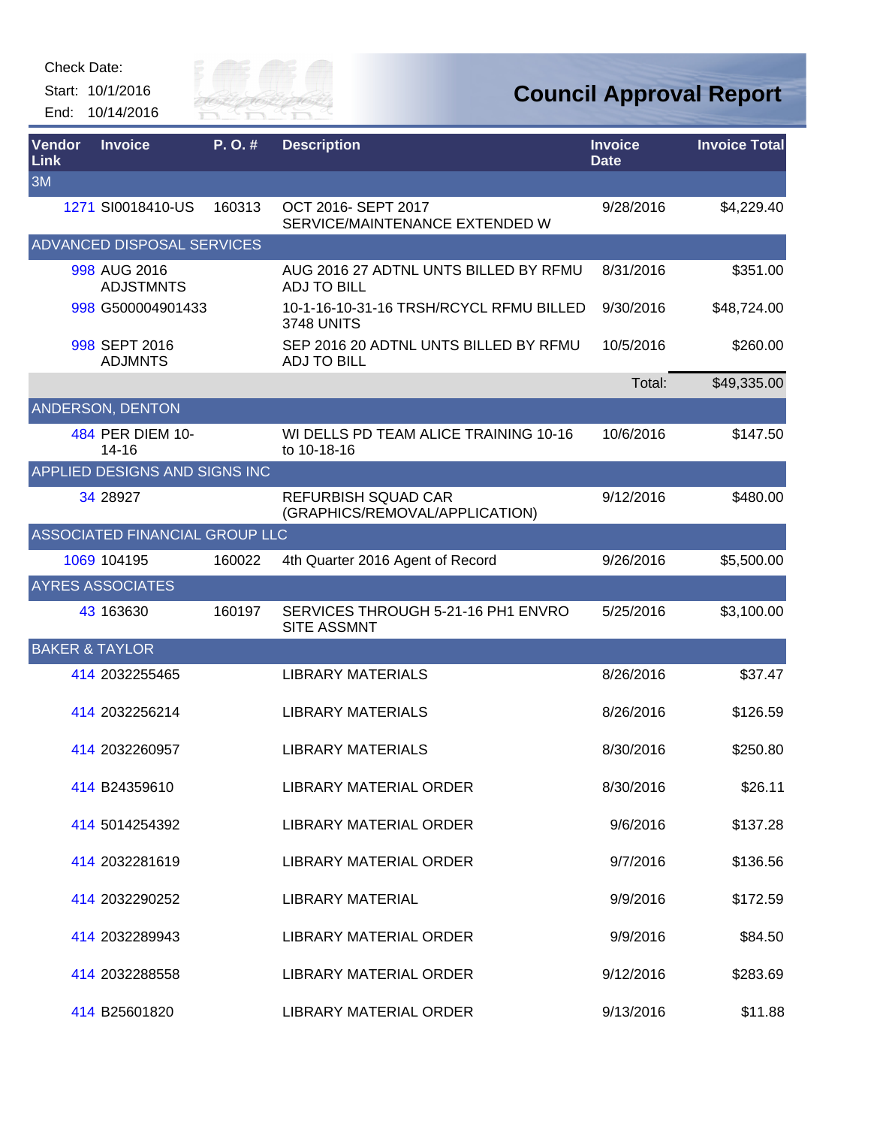Start: 10/1/2016 End: 10/14/2016



| Vendor<br>Link            | <b>Invoice</b>                   | P.O.#  | <b>Description</b>                                           | <b>Invoice</b><br><b>Date</b> | <b>Invoice Total</b> |
|---------------------------|----------------------------------|--------|--------------------------------------------------------------|-------------------------------|----------------------|
| 3M                        |                                  |        |                                                              |                               |                      |
|                           | 1271 SI0018410-US                | 160313 | OCT 2016- SEPT 2017<br>SERVICE/MAINTENANCE EXTENDED W        | 9/28/2016                     | \$4,229.40           |
|                           | ADVANCED DISPOSAL SERVICES       |        |                                                              |                               |                      |
|                           | 998 AUG 2016<br><b>ADJSTMNTS</b> |        | AUG 2016 27 ADTNL UNTS BILLED BY RFMU<br><b>ADJ TO BILL</b>  | 8/31/2016                     | \$351.00             |
|                           | 998 G500004901433                |        | 10-1-16-10-31-16 TRSH/RCYCL RFMU BILLED<br><b>3748 UNITS</b> | 9/30/2016                     | \$48,724.00          |
|                           | 998 SEPT 2016<br><b>ADJMNTS</b>  |        | SEP 2016 20 ADTNL UNTS BILLED BY RFMU<br><b>ADJ TO BILL</b>  | 10/5/2016                     | \$260.00             |
|                           |                                  |        |                                                              | Total:                        | \$49,335.00          |
|                           | <b>ANDERSON, DENTON</b>          |        |                                                              |                               |                      |
|                           | 484 PER DIEM 10-<br>$14 - 16$    |        | WI DELLS PD TEAM ALICE TRAINING 10-16<br>to 10-18-16         | 10/6/2016                     | \$147.50             |
|                           | APPLIED DESIGNS AND SIGNS INC    |        |                                                              |                               |                      |
|                           | 34 28927                         |        | <b>REFURBISH SQUAD CAR</b><br>(GRAPHICS/REMOVAL/APPLICATION) | 9/12/2016                     | \$480.00             |
|                           | ASSOCIATED FINANCIAL GROUP LLC   |        |                                                              |                               |                      |
|                           | 1069 104195                      | 160022 | 4th Quarter 2016 Agent of Record                             | 9/26/2016                     | \$5,500.00           |
|                           | <b>AYRES ASSOCIATES</b>          |        |                                                              |                               |                      |
|                           | 43 163630                        | 160197 | SERVICES THROUGH 5-21-16 PH1 ENVRO<br><b>SITE ASSMNT</b>     | 5/25/2016                     | \$3,100.00           |
| <b>BAKER &amp; TAYLOR</b> |                                  |        |                                                              |                               |                      |
|                           | 414 2032255465                   |        | <b>LIBRARY MATERIALS</b>                                     | 8/26/2016                     | \$37.47              |
|                           | 414 2032256214                   |        | <b>LIBRARY MATERIALS</b>                                     | 8/26/2016                     | \$126.59             |
|                           | 414 2032260957                   |        | <b>LIBRARY MATERIALS</b>                                     | 8/30/2016                     | \$250.80             |
|                           | 414 B24359610                    |        | <b>LIBRARY MATERIAL ORDER</b>                                | 8/30/2016                     | \$26.11              |
|                           | 414 5014254392                   |        | LIBRARY MATERIAL ORDER                                       | 9/6/2016                      | \$137.28             |
|                           | 414 2032281619                   |        | <b>LIBRARY MATERIAL ORDER</b>                                | 9/7/2016                      | \$136.56             |
|                           | 414 2032290252                   |        | <b>LIBRARY MATERIAL</b>                                      | 9/9/2016                      | \$172.59             |
|                           | 414 2032289943                   |        | LIBRARY MATERIAL ORDER                                       | 9/9/2016                      | \$84.50              |
|                           | 414 2032288558                   |        | LIBRARY MATERIAL ORDER                                       | 9/12/2016                     | \$283.69             |
|                           | 414 B25601820                    |        | <b>LIBRARY MATERIAL ORDER</b>                                | 9/13/2016                     | \$11.88              |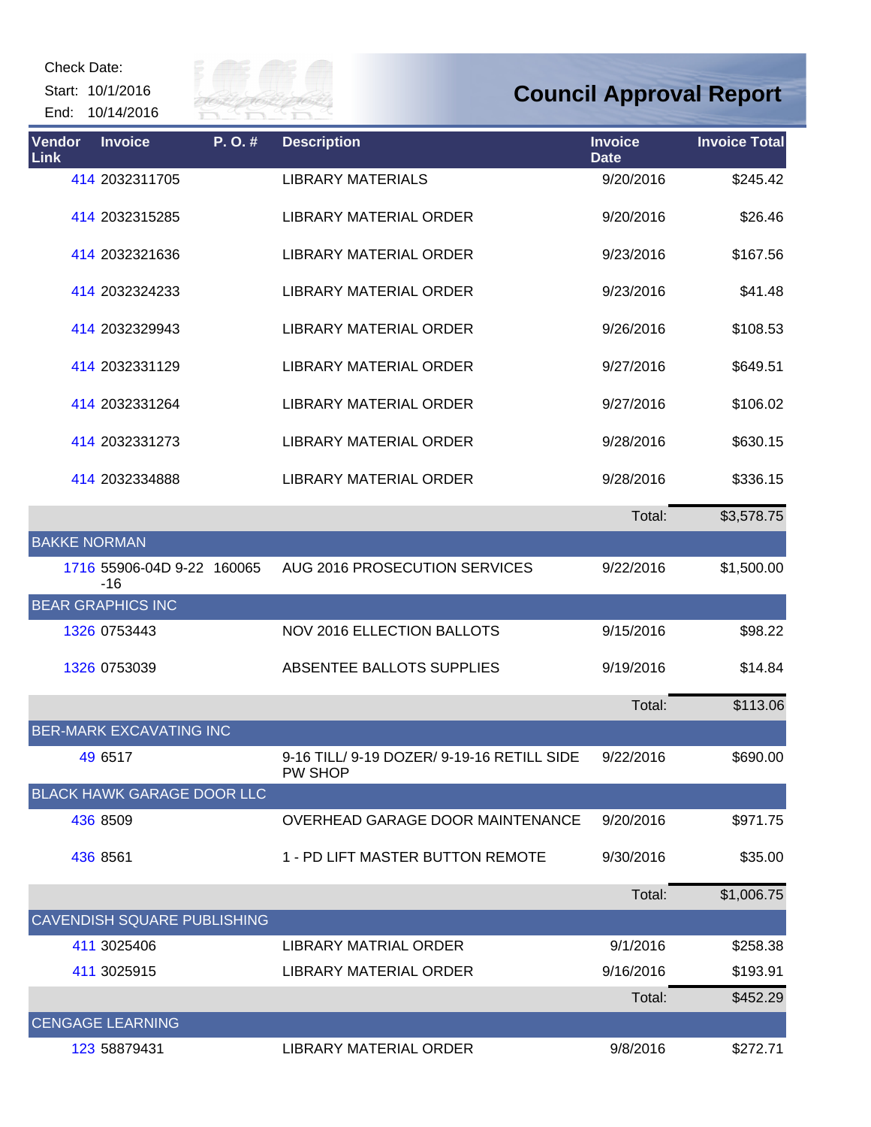Start: 10/1/2016 End: 10/14/2016



| Vendor<br>Link      | <b>Invoice</b>                      | P.O.# | <b>Description</b>                                    | <b>Invoice</b><br><b>Date</b> | <b>Invoice Total</b> |
|---------------------|-------------------------------------|-------|-------------------------------------------------------|-------------------------------|----------------------|
|                     | 414 2032311705                      |       | <b>LIBRARY MATERIALS</b>                              | 9/20/2016                     | \$245.42             |
|                     | 414 2032315285                      |       | <b>LIBRARY MATERIAL ORDER</b>                         | 9/20/2016                     | \$26.46              |
|                     | 414 2032321636                      |       | <b>LIBRARY MATERIAL ORDER</b>                         | 9/23/2016                     | \$167.56             |
|                     | 414 2032324233                      |       | <b>LIBRARY MATERIAL ORDER</b>                         | 9/23/2016                     | \$41.48              |
|                     | 414 2032329943                      |       | LIBRARY MATERIAL ORDER                                | 9/26/2016                     | \$108.53             |
|                     | 414 2032331129                      |       | LIBRARY MATERIAL ORDER                                | 9/27/2016                     | \$649.51             |
|                     | 414 2032331264                      |       | LIBRARY MATERIAL ORDER                                | 9/27/2016                     | \$106.02             |
|                     | 414 2032331273                      |       | LIBRARY MATERIAL ORDER                                | 9/28/2016                     | \$630.15             |
|                     | 414 2032334888                      |       | LIBRARY MATERIAL ORDER                                | 9/28/2016                     | \$336.15             |
|                     |                                     |       |                                                       | Total:                        | \$3,578.75           |
| <b>BAKKE NORMAN</b> |                                     |       |                                                       |                               |                      |
|                     | 1716 55906-04D 9-22 160065<br>$-16$ |       | AUG 2016 PROSECUTION SERVICES                         | 9/22/2016                     | \$1,500.00           |
|                     | <b>BEAR GRAPHICS INC</b>            |       |                                                       |                               |                      |
|                     | 1326 0753443                        |       | <b>NOV 2016 ELLECTION BALLOTS</b>                     | 9/15/2016                     | \$98.22              |
|                     | 1326 0753039                        |       | ABSENTEE BALLOTS SUPPLIES                             | 9/19/2016                     | \$14.84              |
|                     |                                     |       |                                                       | Total:                        | \$113.06             |
|                     | <b>BER-MARK EXCAVATING INC</b>      |       |                                                       |                               |                      |
|                     | 49 6517                             |       | 9-16 TILL/ 9-19 DOZER/ 9-19-16 RETILL SIDE<br>PW SHOP | 9/22/2016                     | \$690.00             |
|                     | <b>BLACK HAWK GARAGE DOOR LLC</b>   |       |                                                       |                               |                      |
|                     | 436 8509                            |       | OVERHEAD GARAGE DOOR MAINTENANCE                      | 9/20/2016                     | \$971.75             |
|                     | 436 8561                            |       | 1 - PD LIFT MASTER BUTTON REMOTE                      | 9/30/2016                     | \$35.00              |
|                     |                                     |       |                                                       | Total:                        | \$1,006.75           |
|                     | <b>CAVENDISH SQUARE PUBLISHING</b>  |       |                                                       |                               |                      |
|                     | 411 3025406                         |       | LIBRARY MATRIAL ORDER                                 | 9/1/2016                      | \$258.38             |
|                     | 411 3025915                         |       | LIBRARY MATERIAL ORDER                                | 9/16/2016                     | \$193.91             |
|                     |                                     |       |                                                       | Total:                        | \$452.29             |
|                     | <b>CENGAGE LEARNING</b>             |       |                                                       |                               |                      |
|                     | 123 58879431                        |       | LIBRARY MATERIAL ORDER                                | 9/8/2016                      | \$272.71             |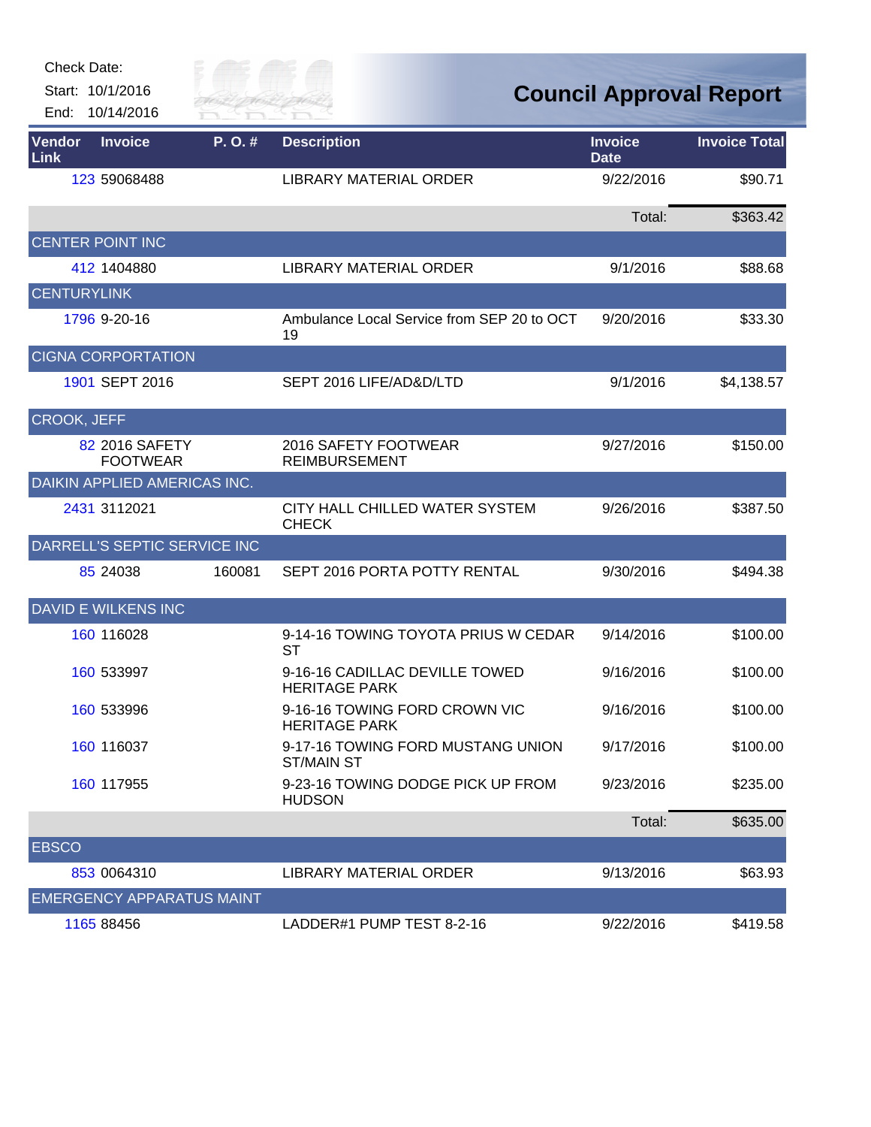| <b>Check Date:</b> |  |
|--------------------|--|
|--------------------|--|

Start: 10/1/2016

End: 10/14/2016



| Vendor<br>Link     | <b>Invoice</b>                      | P.O.#  | <b>Description</b>                                     | <b>Invoice</b><br><b>Date</b> | <b>Invoice Total</b> |
|--------------------|-------------------------------------|--------|--------------------------------------------------------|-------------------------------|----------------------|
|                    | 123 59068488                        |        | LIBRARY MATERIAL ORDER                                 | 9/22/2016                     | \$90.71              |
|                    |                                     |        |                                                        | Total:                        | \$363.42             |
|                    | CENTER POINT INC                    |        |                                                        |                               |                      |
|                    | 412 1404880                         |        | <b>LIBRARY MATERIAL ORDER</b>                          | 9/1/2016                      | \$88.68              |
| <b>CENTURYLINK</b> |                                     |        |                                                        |                               |                      |
|                    | 1796 9-20-16                        |        | Ambulance Local Service from SEP 20 to OCT<br>19       | 9/20/2016                     | \$33.30              |
|                    | <b>CIGNA CORPORTATION</b>           |        |                                                        |                               |                      |
|                    | 1901 SEPT 2016                      |        | SEPT 2016 LIFE/AD&D/LTD                                | 9/1/2016                      | \$4,138.57           |
| <b>CROOK, JEFF</b> |                                     |        |                                                        |                               |                      |
|                    | 82 2016 SAFETY<br><b>FOOTWEAR</b>   |        | 2016 SAFETY FOOTWEAR<br><b>REIMBURSEMENT</b>           | 9/27/2016                     | \$150.00             |
|                    | <b>DAIKIN APPLIED AMERICAS INC.</b> |        |                                                        |                               |                      |
|                    | 2431 3112021                        |        | CITY HALL CHILLED WATER SYSTEM<br><b>CHECK</b>         | 9/26/2016                     | \$387.50             |
|                    | DARRELL'S SEPTIC SERVICE INC        |        |                                                        |                               |                      |
|                    | 85 24038                            | 160081 | SEPT 2016 PORTA POTTY RENTAL                           | 9/30/2016                     | \$494.38             |
|                    | <b>DAVID E WILKENS INC</b>          |        |                                                        |                               |                      |
|                    | 160 116028                          |        | 9-14-16 TOWING TOYOTA PRIUS W CEDAR<br>ST              | 9/14/2016                     | \$100.00             |
|                    | 160 533997                          |        | 9-16-16 CADILLAC DEVILLE TOWED<br><b>HERITAGE PARK</b> | 9/16/2016                     | \$100.00             |
|                    | 160 533996                          |        | 9-16-16 TOWING FORD CROWN VIC<br><b>HERITAGE PARK</b>  | 9/16/2016                     | \$100.00             |
|                    | 160 116037                          |        | 9-17-16 TOWING FORD MUSTANG UNION<br>ST/MAIN ST        | 9/17/2016                     | \$100.00             |
|                    | 160 117955                          |        | 9-23-16 TOWING DODGE PICK UP FROM<br><b>HUDSON</b>     | 9/23/2016                     | \$235.00             |
|                    |                                     |        |                                                        | Total:                        | \$635.00             |
| <b>EBSCO</b>       |                                     |        |                                                        |                               |                      |
|                    | 853 0064310                         |        | LIBRARY MATERIAL ORDER                                 | 9/13/2016                     | \$63.93              |
|                    | <b>EMERGENCY APPARATUS MAINT</b>    |        |                                                        |                               |                      |
|                    | 1165 88456                          |        | LADDER#1 PUMP TEST 8-2-16                              | 9/22/2016                     | \$419.58             |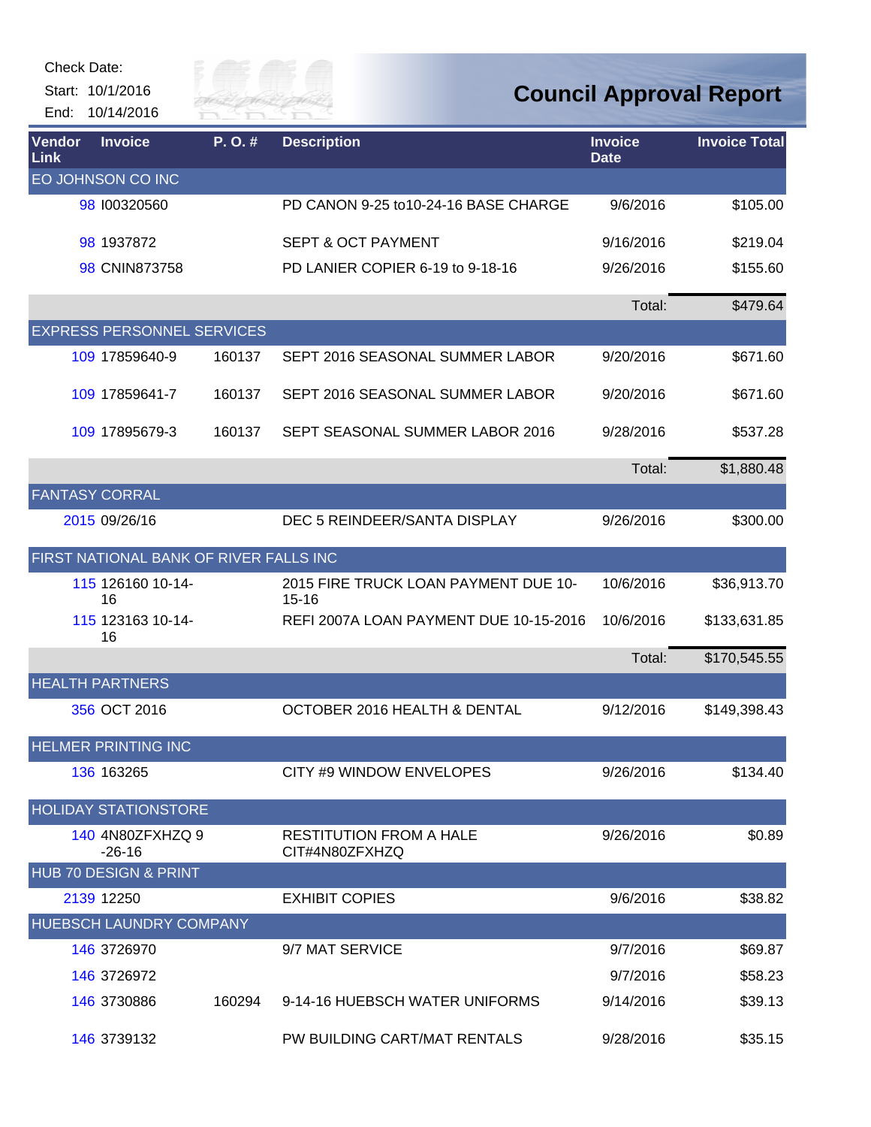Start: 10/1/2016 End: 10/14/2016



| Vendor<br>Link | <b>Invoice</b>                         | P.O.#  | <b>Description</b>                                | <b>Invoice</b><br><b>Date</b> | <b>Invoice Total</b> |
|----------------|----------------------------------------|--------|---------------------------------------------------|-------------------------------|----------------------|
|                | EO JOHNSON CO INC                      |        |                                                   |                               |                      |
|                | 98 100320560                           |        | PD CANON 9-25 to 10-24-16 BASE CHARGE             | 9/6/2016                      | \$105.00             |
|                | 98 1937872                             |        | <b>SEPT &amp; OCT PAYMENT</b>                     | 9/16/2016                     | \$219.04             |
|                | 98 CNIN873758                          |        | PD LANIER COPIER 6-19 to 9-18-16                  | 9/26/2016                     | \$155.60             |
|                |                                        |        |                                                   | Total:                        | \$479.64             |
|                | <b>EXPRESS PERSONNEL SERVICES</b>      |        |                                                   |                               |                      |
|                | 109 17859640-9                         | 160137 | SEPT 2016 SEASONAL SUMMER LABOR                   | 9/20/2016                     | \$671.60             |
|                | 109 17859641-7                         | 160137 | SEPT 2016 SEASONAL SUMMER LABOR                   | 9/20/2016                     | \$671.60             |
|                | 109 17895679-3                         | 160137 | SEPT SEASONAL SUMMER LABOR 2016                   | 9/28/2016                     | \$537.28             |
|                |                                        |        |                                                   | Total:                        | \$1,880.48           |
|                | <b>FANTASY CORRAL</b>                  |        |                                                   |                               |                      |
|                | 2015 09/26/16                          |        | DEC 5 REINDEER/SANTA DISPLAY                      | 9/26/2016                     | \$300.00             |
|                | FIRST NATIONAL BANK OF RIVER FALLS INC |        |                                                   |                               |                      |
|                | 115 126160 10-14-<br>16                |        | 2015 FIRE TRUCK LOAN PAYMENT DUE 10-<br>$15 - 16$ | 10/6/2016                     | \$36,913.70          |
|                | 115 123163 10-14-<br>16                |        | REFI 2007A LOAN PAYMENT DUE 10-15-2016            | 10/6/2016                     | \$133,631.85         |
|                |                                        |        |                                                   | Total:                        | \$170,545.55         |
|                | <b>HEALTH PARTNERS</b>                 |        |                                                   |                               |                      |
|                | 356 OCT 2016                           |        | OCTOBER 2016 HEALTH & DENTAL                      | 9/12/2016                     | \$149,398.43         |
|                | <b>HELMER PRINTING INC</b>             |        |                                                   |                               |                      |
|                | 136 163265                             |        | CITY #9 WINDOW ENVELOPES                          | 9/26/2016                     | \$134.40             |
|                | <b>HOLIDAY STATIONSTORE</b>            |        |                                                   |                               |                      |
|                | 140 4N80ZFXHZQ 9<br>$-26-16$           |        | <b>RESTITUTION FROM A HALE</b><br>CIT#4N80ZFXHZQ  | 9/26/2016                     | \$0.89               |
|                | <b>HUB 70 DESIGN &amp; PRINT</b>       |        |                                                   |                               |                      |
|                | 2139 12250                             |        | <b>EXHIBIT COPIES</b>                             | 9/6/2016                      | \$38.82              |
|                | <b>HUEBSCH LAUNDRY COMPANY</b>         |        |                                                   |                               |                      |
|                | 146 3726970                            |        | 9/7 MAT SERVICE                                   | 9/7/2016                      | \$69.87              |
|                | 146 3726972                            |        |                                                   | 9/7/2016                      | \$58.23              |
|                | 146 3730886                            | 160294 | 9-14-16 HUEBSCH WATER UNIFORMS                    | 9/14/2016                     | \$39.13              |
|                | 146 3739132                            |        | PW BUILDING CART/MAT RENTALS                      | 9/28/2016                     | \$35.15              |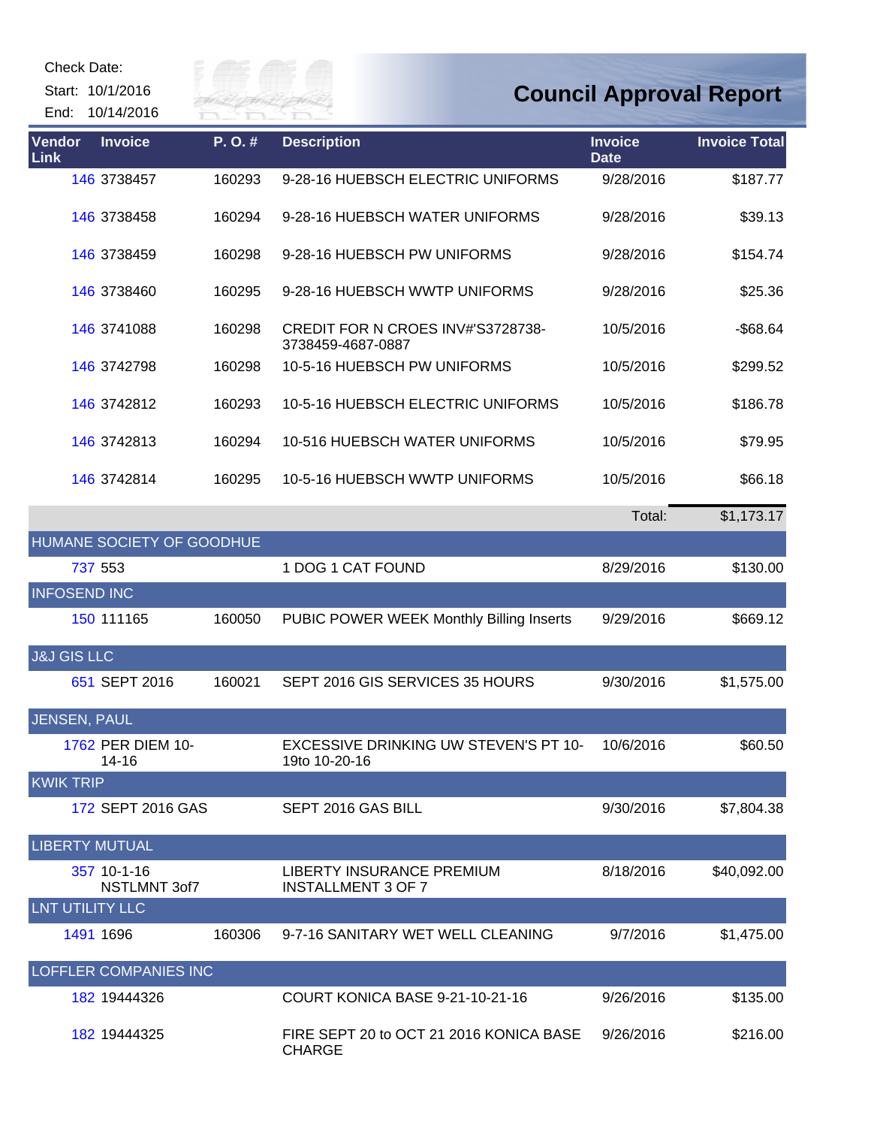Start: 10/1/2016

End: 10/14/2016



| <b>Vendor</b><br>Link | <b>Invoice</b>            | P.O.#  | <b>Description</b>                                     | <b>Invoice</b><br><b>Date</b> | <b>Invoice Total</b> |
|-----------------------|---------------------------|--------|--------------------------------------------------------|-------------------------------|----------------------|
|                       | 146 3738457               | 160293 | 9-28-16 HUEBSCH ELECTRIC UNIFORMS                      | 9/28/2016                     | \$187.77             |
|                       | 146 3738458               | 160294 | 9-28-16 HUEBSCH WATER UNIFORMS                         | 9/28/2016                     | \$39.13              |
|                       | 146 3738459               | 160298 | 9-28-16 HUEBSCH PW UNIFORMS                            | 9/28/2016                     | \$154.74             |
|                       | 146 3738460               | 160295 | 9-28-16 HUEBSCH WWTP UNIFORMS                          | 9/28/2016                     | \$25.36              |
|                       | 146 3741088               | 160298 | CREDIT FOR N CROES INV#'S3728738-<br>3738459-4687-0887 | 10/5/2016                     | $-$ \$68.64          |
|                       | 146 3742798               | 160298 | 10-5-16 HUEBSCH PW UNIFORMS                            | 10/5/2016                     | \$299.52             |
|                       | 146 3742812               | 160293 | 10-5-16 HUEBSCH ELECTRIC UNIFORMS                      | 10/5/2016                     | \$186.78             |
|                       | 146 3742813               | 160294 | 10-516 HUEBSCH WATER UNIFORMS                          | 10/5/2016                     | \$79.95              |
|                       | 146 3742814               | 160295 | 10-5-16 HUEBSCH WWTP UNIFORMS                          | 10/5/2016                     | \$66.18              |
|                       |                           |        |                                                        | Total:                        | \$1,173.17           |
|                       | HUMANE SOCIETY OF GOODHUE |        |                                                        |                               |                      |
|                       | 737 553                   |        | 1 DOG 1 CAT FOUND                                      | 8/29/2016                     | \$130.00             |
| <b>INFOSEND INC</b>   |                           |        |                                                        |                               |                      |
|                       | 150 111165                | 160050 | PUBIC POWER WEEK Monthly Billing Inserts               | 9/29/2016                     | \$669.12             |

| <b>J&amp;J GIS LLC</b>       |              |                                                          |           |             |
|------------------------------|--------------|----------------------------------------------------------|-----------|-------------|
| 651 SEPT 2016                | 160021       | SEPT 2016 GIS SERVICES 35 HOURS                          | 9/30/2016 | \$1,575.00  |
| JENSEN, PAUL                 |              |                                                          |           |             |
| 1762 PER DIEM 10-<br>14-16   |              | EXCESSIVE DRINKING UW STEVEN'S PT 10-<br>19to 10-20-16   | 10/6/2016 | \$60.50     |
| <b>KWIKTRIP</b>              |              |                                                          |           |             |
| 172 SEPT 2016 GAS            |              | SEPT 2016 GAS BILL                                       | 9/30/2016 | \$7,804.38  |
| <b>LIBERTY MUTUAL</b>        |              |                                                          |           |             |
| 357 10-1-16                  | NSTLMNT 3of7 | LIBERTY INSURANCE PREMIUM<br><b>INSTALLMENT 3 OF 7</b>   | 8/18/2016 | \$40,092.00 |
| LNT UTILITY LLC              |              |                                                          |           |             |
| 1491 1696                    | 160306       | 9-7-16 SANITARY WET WELL CLEANING                        | 9/7/2016  | \$1,475.00  |
| <b>LOFFLER COMPANIES INC</b> |              |                                                          |           |             |
| 182 19444326                 |              | COURT KONICA BASE 9-21-10-21-16                          | 9/26/2016 | \$135.00    |
| 182 19444325                 |              | FIRE SEPT 20 to OCT 21 2016 KONICA BASE<br><b>CHARGE</b> | 9/26/2016 | \$216.00    |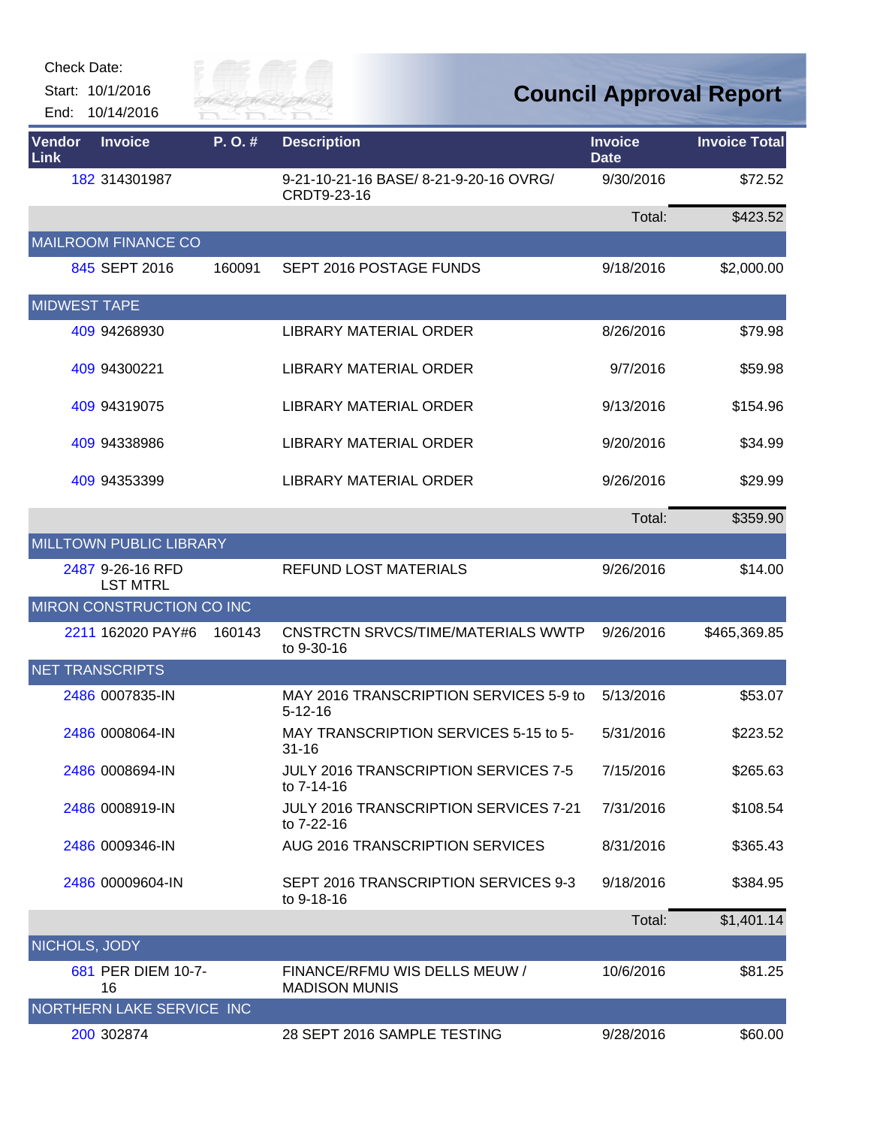Start: 10/1/2016 End: 10/14/2016



| Vendor<br>Link      | <b>Invoice</b>                      | P. O. # | <b>Description</b>                                      | <b>Invoice</b><br><b>Date</b> | <b>Invoice Total</b> |
|---------------------|-------------------------------------|---------|---------------------------------------------------------|-------------------------------|----------------------|
|                     | 182 314301987                       |         | 9-21-10-21-16 BASE/ 8-21-9-20-16 OVRG/<br>CRDT9-23-16   | 9/30/2016                     | \$72.52              |
|                     |                                     |         |                                                         | Total:                        | \$423.52             |
|                     | <b>MAILROOM FINANCE CO</b>          |         |                                                         |                               |                      |
|                     | 845 SEPT 2016                       | 160091  | SEPT 2016 POSTAGE FUNDS                                 | 9/18/2016                     | \$2,000.00           |
| <b>MIDWEST TAPE</b> |                                     |         |                                                         |                               |                      |
|                     | 409 94268930                        |         | <b>LIBRARY MATERIAL ORDER</b>                           | 8/26/2016                     | \$79.98              |
|                     | 409 94300221                        |         | <b>LIBRARY MATERIAL ORDER</b>                           | 9/7/2016                      | \$59.98              |
|                     | 409 94319075                        |         | <b>LIBRARY MATERIAL ORDER</b>                           | 9/13/2016                     | \$154.96             |
|                     | 409 94338986                        |         | <b>LIBRARY MATERIAL ORDER</b>                           | 9/20/2016                     | \$34.99              |
|                     | 409 94353399                        |         | <b>LIBRARY MATERIAL ORDER</b>                           | 9/26/2016                     | \$29.99              |
|                     |                                     |         |                                                         | Total:                        | \$359.90             |
|                     | <b>MILLTOWN PUBLIC LIBRARY</b>      |         |                                                         |                               |                      |
|                     | 2487 9-26-16 RFD<br><b>LST MTRL</b> |         | <b>REFUND LOST MATERIALS</b>                            | 9/26/2016                     | \$14.00              |
|                     | MIRON CONSTRUCTION CO INC           |         |                                                         |                               |                      |
|                     | 2211 162020 PAY#6                   | 160143  | <b>CNSTRCTN SRVCS/TIME/MATERIALS WWTP</b><br>to 9-30-16 | 9/26/2016                     | \$465,369.85         |
|                     | <b>NET TRANSCRIPTS</b>              |         |                                                         |                               |                      |
|                     | 2486 0007835-IN                     |         | MAY 2016 TRANSCRIPTION SERVICES 5-9 to<br>$5 - 12 - 16$ | 5/13/2016                     | \$53.07              |
|                     | 2486 0008064-IN                     |         | MAY TRANSCRIPTION SERVICES 5-15 to 5-<br>$31 - 16$      | 5/31/2016                     | \$223.52             |
|                     | 2486 0008694-IN                     |         | JULY 2016 TRANSCRIPTION SERVICES 7-5<br>to 7-14-16      | 7/15/2016                     | \$265.63             |
|                     | 2486 0008919-IN                     |         | JULY 2016 TRANSCRIPTION SERVICES 7-21<br>to 7-22-16     | 7/31/2016                     | \$108.54             |
|                     | 2486 0009346-IN                     |         | <b>AUG 2016 TRANSCRIPTION SERVICES</b>                  | 8/31/2016                     | \$365.43             |
|                     | 2486 00009604-IN                    |         | SEPT 2016 TRANSCRIPTION SERVICES 9-3<br>to 9-18-16      | 9/18/2016                     | \$384.95             |
|                     |                                     |         |                                                         | Total:                        | \$1,401.14           |
| NICHOLS, JODY       |                                     |         |                                                         |                               |                      |
|                     | 681 PER DIEM 10-7-<br>16            |         | FINANCE/RFMU WIS DELLS MEUW /<br><b>MADISON MUNIS</b>   | 10/6/2016                     | \$81.25              |
|                     | NORTHERN LAKE SERVICE INC           |         |                                                         |                               |                      |
|                     | 200 302874                          |         | 28 SEPT 2016 SAMPLE TESTING                             | 9/28/2016                     | \$60.00              |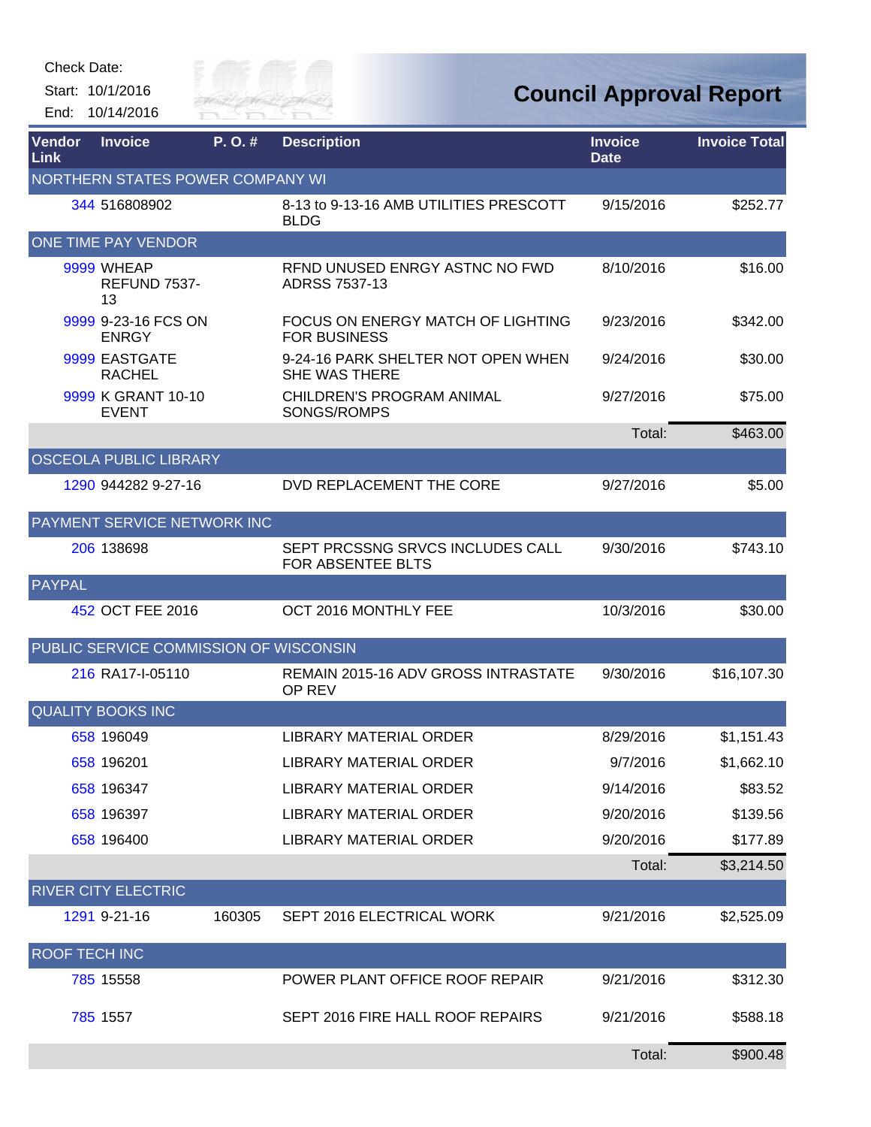Start: 10/1/2016 End: 10/14/2016



| Vendor<br>Link       | <b>Invoice</b>                         | P.O.#  | <b>Description</b>                                              | <b>Invoice</b><br><b>Date</b> | <b>Invoice Total</b> |
|----------------------|----------------------------------------|--------|-----------------------------------------------------------------|-------------------------------|----------------------|
|                      | NORTHERN STATES POWER COMPANY WI       |        |                                                                 |                               |                      |
|                      | 344 516808902                          |        | 8-13 to 9-13-16 AMB UTILITIES PRESCOTT<br><b>BLDG</b>           | 9/15/2016                     | \$252.77             |
|                      | ONE TIME PAY VENDOR                    |        |                                                                 |                               |                      |
|                      | 9999 WHEAP<br>REFUND 7537-<br>13       |        | RFND UNUSED ENRGY ASTNC NO FWD<br>ADRSS 7537-13                 | 8/10/2016                     | \$16.00              |
|                      | 9999 9-23-16 FCS ON<br><b>ENRGY</b>    |        | <b>FOCUS ON ENERGY MATCH OF LIGHTING</b><br><b>FOR BUSINESS</b> | 9/23/2016                     | \$342.00             |
|                      | 9999 EASTGATE<br><b>RACHEL</b>         |        | 9-24-16 PARK SHELTER NOT OPEN WHEN<br>SHE WAS THERE             | 9/24/2016                     | \$30.00              |
|                      | 9999 K GRANT 10-10<br><b>EVENT</b>     |        | CHILDREN'S PROGRAM ANIMAL<br>SONGS/ROMPS                        | 9/27/2016                     | \$75.00              |
|                      |                                        |        |                                                                 | Total:                        | \$463.00             |
|                      | <b>OSCEOLA PUBLIC LIBRARY</b>          |        |                                                                 |                               |                      |
|                      | 1290 944282 9-27-16                    |        | DVD REPLACEMENT THE CORE                                        | 9/27/2016                     | \$5.00               |
|                      | PAYMENT SERVICE NETWORK INC            |        |                                                                 |                               |                      |
|                      | 206 138698                             |        | SEPT PRCSSNG SRVCS INCLUDES CALL<br>FOR ABSENTEE BLTS           | 9/30/2016                     | \$743.10             |
| PAYPAL               |                                        |        |                                                                 |                               |                      |
|                      | 452 OCT FEE 2016                       |        | OCT 2016 MONTHLY FEE                                            | 10/3/2016                     | \$30.00              |
|                      | PUBLIC SERVICE COMMISSION OF WISCONSIN |        |                                                                 |                               |                      |
|                      | 216 RA17-I-05110                       |        | <b>REMAIN 2015-16 ADV GROSS INTRASTATE</b><br>OP REV            | 9/30/2016                     | \$16,107.30          |
|                      | <b>QUALITY BOOKS INC</b>               |        |                                                                 |                               |                      |
|                      | 658 196049                             |        | <b>LIBRARY MATERIAL ORDER</b>                                   | 8/29/2016                     | \$1,151.43           |
|                      | 658 196201                             |        | <b>LIBRARY MATERIAL ORDER</b>                                   | 9/7/2016                      | \$1,662.10           |
|                      | 658 196347                             |        | LIBRARY MATERIAL ORDER                                          | 9/14/2016                     | \$83.52              |
|                      | 658 196397                             |        | <b>LIBRARY MATERIAL ORDER</b>                                   | 9/20/2016                     | \$139.56             |
|                      | 658 196400                             |        | LIBRARY MATERIAL ORDER                                          | 9/20/2016                     | \$177.89             |
|                      |                                        |        |                                                                 | Total:                        | \$3,214.50           |
|                      | <b>RIVER CITY ELECTRIC</b>             |        |                                                                 |                               |                      |
|                      | 1291 9-21-16                           | 160305 | SEPT 2016 ELECTRICAL WORK                                       | 9/21/2016                     | \$2,525.09           |
| <b>ROOF TECH INC</b> |                                        |        |                                                                 |                               |                      |
|                      | 785 15558                              |        | POWER PLANT OFFICE ROOF REPAIR                                  | 9/21/2016                     | \$312.30             |
|                      | 785 1557                               |        | SEPT 2016 FIRE HALL ROOF REPAIRS                                | 9/21/2016                     | \$588.18             |
|                      |                                        |        |                                                                 | Total:                        | \$900.48             |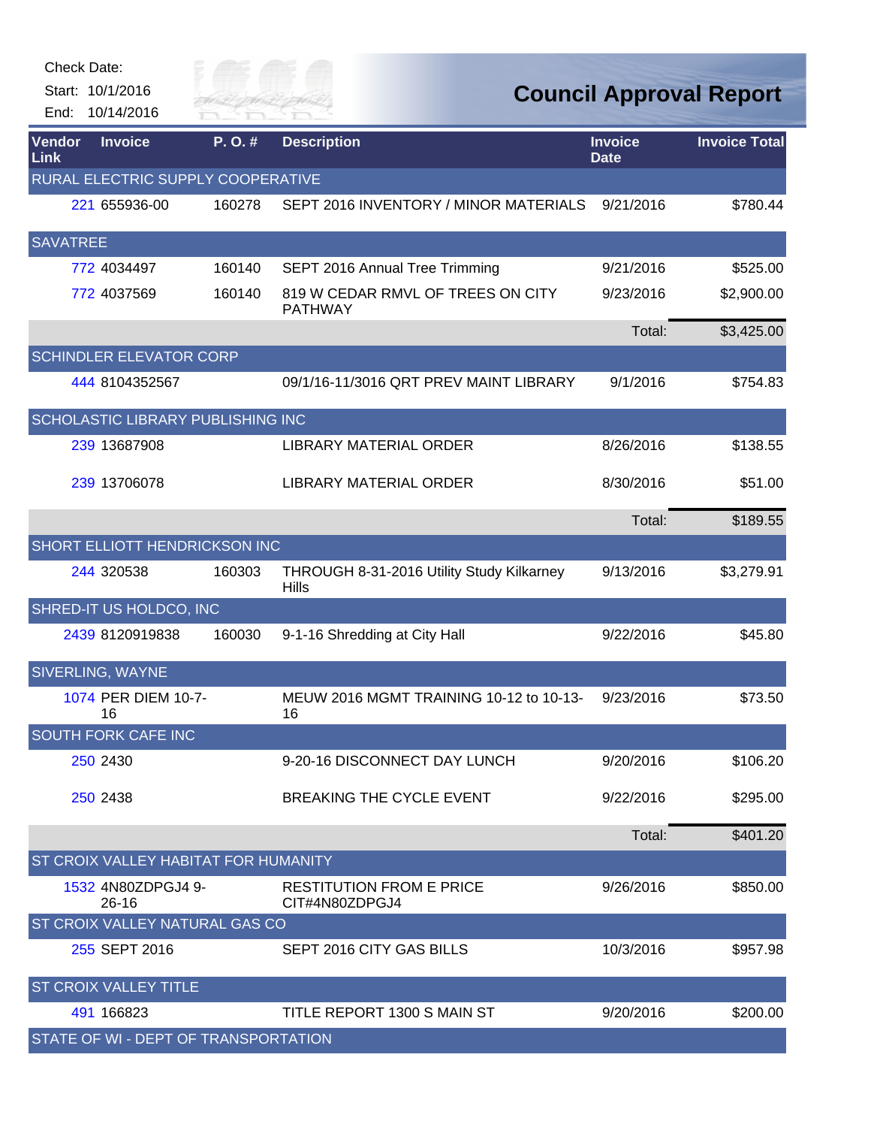| Check Date:     |                                             |                  |                                                           |                               |                                |
|-----------------|---------------------------------------------|------------------|-----------------------------------------------------------|-------------------------------|--------------------------------|
|                 | Start: 10/1/2016                            | City of $\equiv$ |                                                           |                               | <b>Council Approval Report</b> |
|                 | End: 10/14/2016                             | RIVER FAI        |                                                           |                               |                                |
| Vendor<br>Link  | <b>Invoice</b>                              | P.O.#            | <b>Description</b>                                        | <b>Invoice</b><br><b>Date</b> | <b>Invoice Total</b>           |
|                 | RURAL ELECTRIC SUPPLY COOPERATIVE           |                  |                                                           |                               |                                |
|                 | 221 655936-00                               | 160278           | SEPT 2016 INVENTORY / MINOR MATERIALS                     | 9/21/2016                     | \$780.44                       |
| <b>SAVATREE</b> |                                             |                  |                                                           |                               |                                |
|                 | 772 4034497                                 | 160140           | SEPT 2016 Annual Tree Trimming                            | 9/21/2016                     | \$525.00                       |
|                 | 772 4037569                                 | 160140           | 819 W CEDAR RMVL OF TREES ON CITY<br><b>PATHWAY</b>       | 9/23/2016                     | \$2,900.00                     |
|                 |                                             |                  |                                                           | Total:                        | \$3,425.00                     |
|                 | <b>SCHINDLER ELEVATOR CORP</b>              |                  |                                                           |                               |                                |
|                 | 444 8104352567                              |                  | 09/1/16-11/3016 QRT PREV MAINT LIBRARY                    | 9/1/2016                      | \$754.83                       |
|                 | SCHOLASTIC LIBRARY PUBLISHING INC           |                  |                                                           |                               |                                |
|                 | 239 13687908                                |                  | <b>LIBRARY MATERIAL ORDER</b>                             | 8/26/2016                     | \$138.55                       |
|                 | 239 13706078                                |                  | <b>LIBRARY MATERIAL ORDER</b>                             | 8/30/2016                     | \$51.00                        |
|                 |                                             |                  |                                                           | Total:                        | \$189.55                       |
|                 | SHORT ELLIOTT HENDRICKSON INC               |                  |                                                           |                               |                                |
|                 | 244 320538                                  | 160303           | THROUGH 8-31-2016 Utility Study Kilkarney<br><b>Hills</b> | 9/13/2016                     | \$3,279.91                     |
|                 | SHRED-IT US HOLDCO, INC                     |                  |                                                           |                               |                                |
|                 | 2439 8120919838                             | 160030           | 9-1-16 Shredding at City Hall                             | 9/22/2016                     | \$45.80                        |
|                 | SIVERLING, WAYNE                            |                  |                                                           |                               |                                |
|                 | 1074 PER DIEM 10-7-<br>16                   |                  | MEUW 2016 MGMT TRAINING 10-12 to 10-13-<br>16             | 9/23/2016                     | \$73.50                        |
|                 | SOUTH FORK CAFE INC                         |                  |                                                           |                               |                                |
|                 | 250 2430                                    |                  | 9-20-16 DISCONNECT DAY LUNCH                              | 9/20/2016                     | \$106.20                       |
|                 | 250 2438                                    |                  | BREAKING THE CYCLE EVENT                                  | 9/22/2016                     | \$295.00                       |
|                 |                                             |                  |                                                           | Total:                        | \$401.20                       |
|                 | <b>ST CROIX VALLEY HABITAT FOR HUMANITY</b> |                  |                                                           |                               |                                |
|                 | 1532 4N80ZDPGJ4 9-<br>26-16                 |                  | <b>RESTITUTION FROM E PRICE</b><br>CIT#4N80ZDPGJ4         | 9/26/2016                     | \$850.00                       |
|                 | ST CROIX VALLEY NATURAL GAS CO              |                  |                                                           |                               |                                |
|                 | 255 SEPT 2016                               |                  | SEPT 2016 CITY GAS BILLS                                  | 10/3/2016                     | \$957.98                       |
|                 | <b>ST CROIX VALLEY TITLE</b>                |                  |                                                           |                               |                                |
|                 | 491 166823                                  |                  | TITLE REPORT 1300 S MAIN ST                               | 9/20/2016                     | \$200.00                       |
|                 | STATE OF WI - DEPT OF TRANSPORTATION        |                  |                                                           |                               |                                |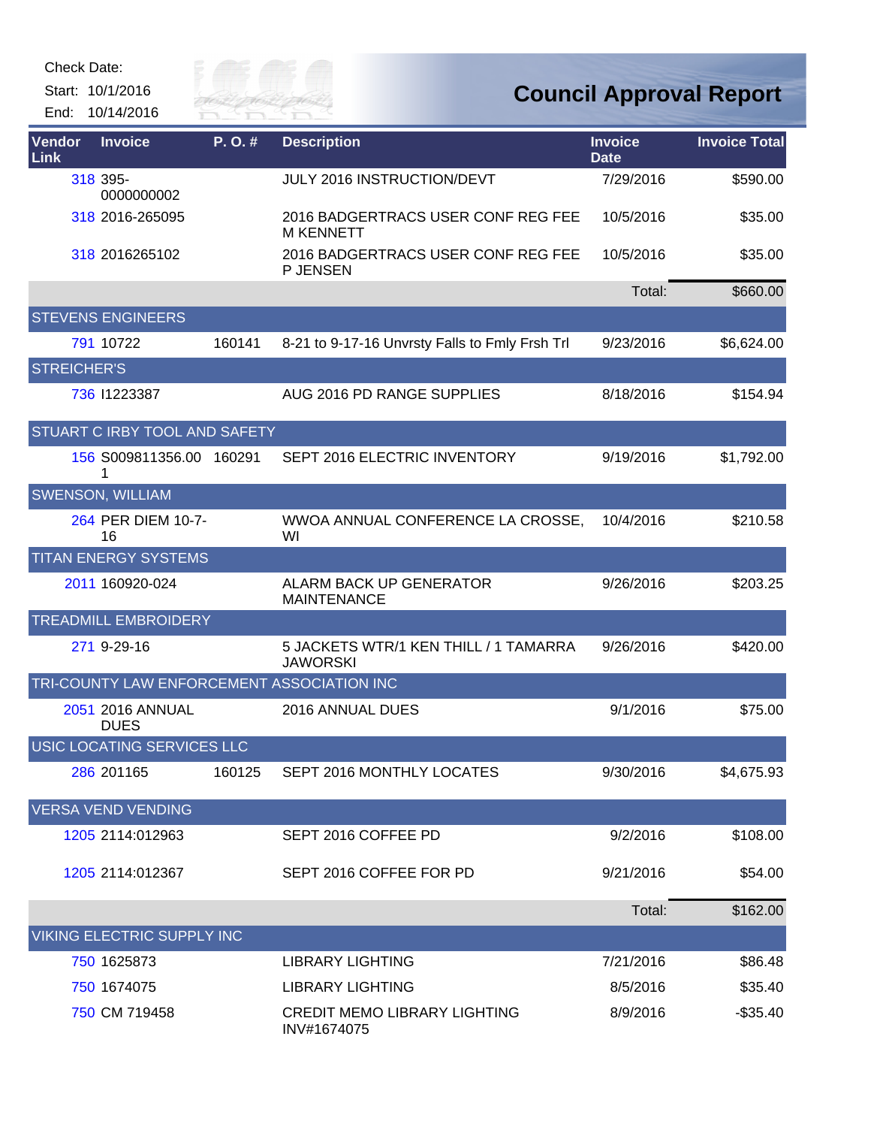Start: 10/1/2016 End: 10/14/2016



| Vendor<br>Link     | <b>Invoice</b>                    | P.O.#  | <b>Description</b>                                       | <b>Invoice</b><br><b>Date</b> | <b>Invoice Total</b> |
|--------------------|-----------------------------------|--------|----------------------------------------------------------|-------------------------------|----------------------|
|                    | 318 395-<br>0000000002            |        | JULY 2016 INSTRUCTION/DEVT                               | 7/29/2016                     | \$590.00             |
|                    | 318 2016-265095                   |        | 2016 BADGERTRACS USER CONF REG FEE<br><b>M KENNETT</b>   | 10/5/2016                     | \$35.00              |
|                    | 318 2016265102                    |        | 2016 BADGERTRACS USER CONF REG FEE<br>P JENSEN           | 10/5/2016                     | \$35.00              |
|                    |                                   |        |                                                          | Total:                        | \$660.00             |
|                    | <b>STEVENS ENGINEERS</b>          |        |                                                          |                               |                      |
|                    | 791 10722                         | 160141 | 8-21 to 9-17-16 Unvrsty Falls to Fmly Frsh Trl           | 9/23/2016                     | \$6,624.00           |
| <b>STREICHER'S</b> |                                   |        |                                                          |                               |                      |
|                    | 736 11223387                      |        | AUG 2016 PD RANGE SUPPLIES                               | 8/18/2016                     | \$154.94             |
|                    | STUART C IRBY TOOL AND SAFETY     |        |                                                          |                               |                      |
|                    | 156 S009811356.00 160291<br>1     |        | SEPT 2016 ELECTRIC INVENTORY                             | 9/19/2016                     | \$1,792.00           |
|                    | <b>SWENSON, WILLIAM</b>           |        |                                                          |                               |                      |
|                    | 264 PER DIEM 10-7-<br>16          |        | WWOA ANNUAL CONFERENCE LA CROSSE,<br>WI                  | 10/4/2016                     | \$210.58             |
|                    | <b>TITAN ENERGY SYSTEMS</b>       |        |                                                          |                               |                      |
|                    | 2011 160920-024                   |        | <b>ALARM BACK UP GENERATOR</b><br><b>MAINTENANCE</b>     | 9/26/2016                     | \$203.25             |
|                    | <b>TREADMILL EMBROIDERY</b>       |        |                                                          |                               |                      |
|                    | 271 9-29-16                       |        | 5 JACKETS WTR/1 KEN THILL / 1 TAMARRA<br><b>JAWORSKI</b> | 9/26/2016                     | \$420.00             |
|                    |                                   |        | TRI-COUNTY LAW ENFORCEMENT ASSOCIATION INC               |                               |                      |
|                    | 2051 2016 ANNUAL<br><b>DUES</b>   |        | 2016 ANNUAL DUES                                         | 9/1/2016                      | \$75.00              |
|                    | USIC LOCATING SERVICES LLC        |        |                                                          |                               |                      |
|                    | 286 201165                        | 160125 | SEPT 2016 MONTHLY LOCATES                                | 9/30/2016                     | \$4,675.93           |
|                    | <b>VERSA VEND VENDING</b>         |        |                                                          |                               |                      |
|                    | 1205 2114:012963                  |        | SEPT 2016 COFFEE PD                                      | 9/2/2016                      | \$108.00             |
|                    | 1205 2114:012367                  |        | SEPT 2016 COFFEE FOR PD                                  | 9/21/2016                     | \$54.00              |
|                    |                                   |        |                                                          | Total:                        | \$162.00             |
|                    | <b>VIKING ELECTRIC SUPPLY INC</b> |        |                                                          |                               |                      |
|                    | 750 1625873                       |        | <b>LIBRARY LIGHTING</b>                                  | 7/21/2016                     | \$86.48              |
|                    | 750 1674075                       |        | <b>LIBRARY LIGHTING</b>                                  | 8/5/2016                      | \$35.40              |
|                    | 750 CM 719458                     |        | <b>CREDIT MEMO LIBRARY LIGHTING</b><br>INV#1674075       | 8/9/2016                      | $-$ \$35.40          |